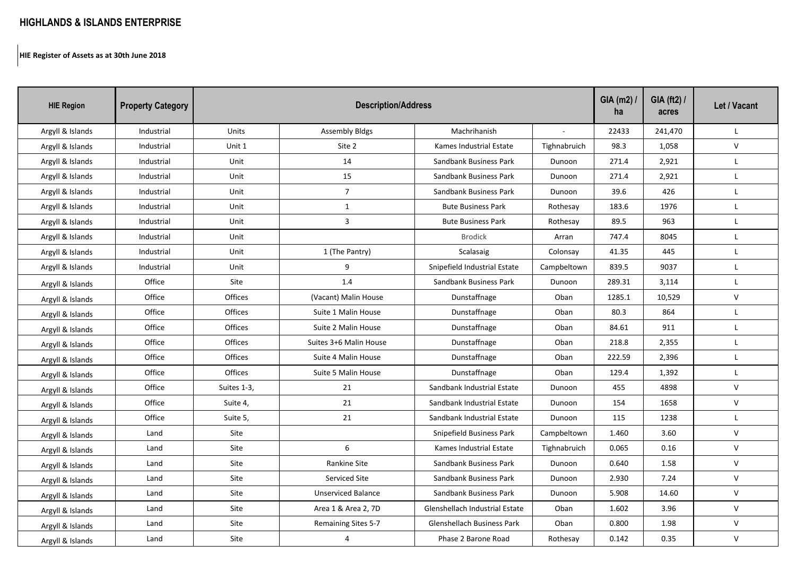## **HIGHLANDS & ISLANDS ENTERPRISE**

**HIE Register of Assets as at 30th June 2018**

| <b>HIE Region</b> | <b>Property Category</b> |                | <b>Description/Address</b> |                                   |              |        |         | Let / Vacant |
|-------------------|--------------------------|----------------|----------------------------|-----------------------------------|--------------|--------|---------|--------------|
| Argyll & Islands  | Industrial               | Units          | <b>Assembly Bldgs</b>      | Machrihanish                      |              | 22433  | 241,470 | L            |
| Argyll & Islands  | Industrial               | Unit 1         | Site 2                     | Kames Industrial Estate           | Tighnabruich | 98.3   | 1,058   | $\vee$       |
| Argyll & Islands  | Industrial               | Unit           | 14                         | Sandbank Business Park            | Dunoon       | 271.4  | 2,921   | L            |
| Argyll & Islands  | Industrial               | Unit           | 15                         | Sandbank Business Park            | Dunoon       | 271.4  | 2,921   | $\mathsf{L}$ |
| Argyll & Islands  | Industrial               | Unit           | $\overline{7}$             | Sandbank Business Park            | Dunoon       | 39.6   | 426     | L            |
| Argyll & Islands  | Industrial               | Unit           | $\mathbf{1}$               | <b>Bute Business Park</b>         | Rothesay     | 183.6  | 1976    | L            |
| Argyll & Islands  | Industrial               | Unit           | 3                          | <b>Bute Business Park</b>         | Rothesay     | 89.5   | 963     | $\mathsf{L}$ |
| Argyll & Islands  | Industrial               | Unit           |                            | <b>Brodick</b>                    | Arran        | 747.4  | 8045    | $\mathsf{L}$ |
| Argyll & Islands  | Industrial               | Unit           | 1 (The Pantry)             | Scalasaig                         | Colonsay     | 41.35  | 445     | $\mathsf{L}$ |
| Argyll & Islands  | Industrial               | Unit           | 9                          | Snipefield Industrial Estate      | Campbeltown  | 839.5  | 9037    | $\mathsf{L}$ |
| Argyll & Islands  | Office                   | Site           | 1.4                        | Sandbank Business Park            | Dunoon       | 289.31 | 3,114   | L            |
| Argyll & Islands  | Office                   | <b>Offices</b> | (Vacant) Malin House       | Dunstaffnage                      | Oban         | 1285.1 | 10,529  | $\vee$       |
| Argyll & Islands  | Office                   | <b>Offices</b> | Suite 1 Malin House        | Dunstaffnage                      | Oban         | 80.3   | 864     | L            |
| Argyll & Islands  | Office                   | Offices        | Suite 2 Malin House        | Dunstaffnage                      | Oban         | 84.61  | 911     | L            |
| Argyll & Islands  | Office                   | Offices        | Suites 3+6 Malin House     | Dunstaffnage                      | Oban         | 218.8  | 2,355   | $\mathsf{L}$ |
| Argyll & Islands  | Office                   | Offices        | Suite 4 Malin House        | Dunstaffnage                      | Oban         | 222.59 | 2,396   | L.           |
| Argyll & Islands  | Office                   | Offices        | Suite 5 Malin House        | Dunstaffnage                      | Oban         | 129.4  | 1,392   | $\mathsf{L}$ |
| Argyll & Islands  | Office                   | Suites 1-3,    | 21                         | Sandbank Industrial Estate        | Dunoon       | 455    | 4898    | $\vee$       |
| Argyll & Islands  | Office                   | Suite 4,       | 21                         | Sandbank Industrial Estate        | Dunoon       | 154    | 1658    | ${\sf V}$    |
| Argyll & Islands  | Office                   | Suite 5,       | 21                         | Sandbank Industrial Estate        | Dunoon       | 115    | 1238    | L            |
| Argyll & Islands  | Land                     | Site           |                            | Snipefield Business Park          | Campbeltown  | 1.460  | 3.60    | $\vee$       |
| Argyll & Islands  | Land                     | Site           | 6                          | Kames Industrial Estate           | Tighnabruich | 0.065  | 0.16    | $\vee$       |
| Argyll & Islands  | Land                     | Site           | Rankine Site               | Sandbank Business Park            | Dunoon       | 0.640  | 1.58    | $\mathsf{V}$ |
| Argyll & Islands  | Land                     | Site           | Serviced Site              | Sandbank Business Park            | Dunoon       | 2.930  | 7.24    | $\vee$       |
| Argyll & Islands  | Land                     | Site           | <b>Unserviced Balance</b>  | Sandbank Business Park            | Dunoon       | 5.908  | 14.60   | $\mathsf{V}$ |
| Argyll & Islands  | Land                     | Site           | Area 1 & Area 2, 7D        | Glenshellach Industrial Estate    | Oban         | 1.602  | 3.96    | $\vee$       |
| Argyll & Islands  | Land                     | Site           | <b>Remaining Sites 5-7</b> | <b>Glenshellach Business Park</b> | Oban         | 0.800  | 1.98    | $\vee$       |
| Argyll & Islands  | Land                     | Site           | 4                          | Phase 2 Barone Road               | Rothesay     | 0.142  | 0.35    | ${\sf V}$    |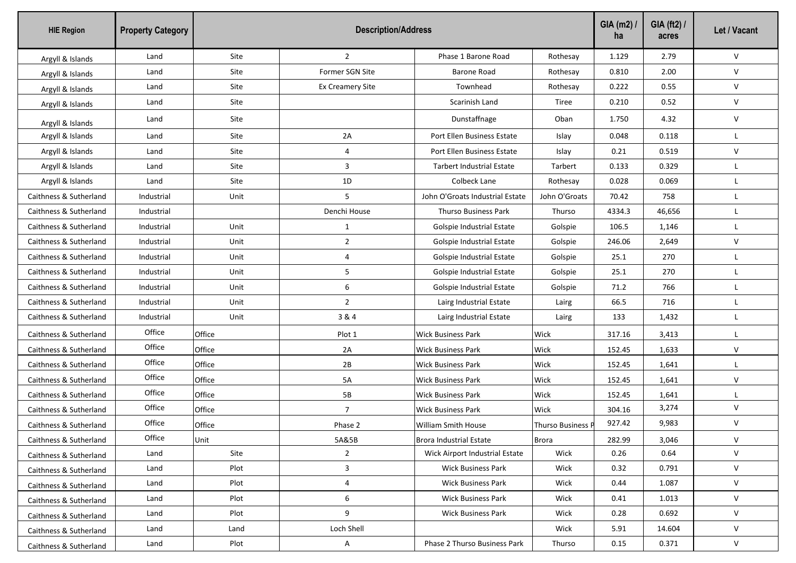| <b>HIE Region</b>      | <b>Property Category</b> |        | <b>Description/Address</b> |                                  |                          |        |        | Let / Vacant |
|------------------------|--------------------------|--------|----------------------------|----------------------------------|--------------------------|--------|--------|--------------|
| Argyll & Islands       | Land                     | Site   | $\overline{2}$             | Phase 1 Barone Road              | Rothesay                 | 1.129  | 2.79   | $\vee$       |
| Argyll & Islands       | Land                     | Site   | Former SGN Site            | Barone Road                      | Rothesay                 | 0.810  | 2.00   | $\vee$       |
| Argyll & Islands       | Land                     | Site   | Ex Creamery Site           | Townhead                         | Rothesay                 | 0.222  | 0.55   | $\vee$       |
| Argyll & Islands       | Land                     | Site   |                            | Scarinish Land                   | Tiree                    | 0.210  | 0.52   | $\mathsf{V}$ |
| Argyll & Islands       | Land                     | Site   |                            | Dunstaffnage                     | Oban                     | 1.750  | 4.32   | $\vee$       |
| Argyll & Islands       | Land                     | Site   | 2A                         | Port Ellen Business Estate       | Islay                    | 0.048  | 0.118  | L            |
| Argyll & Islands       | Land                     | Site   | 4                          | Port Ellen Business Estate       | Islay                    | 0.21   | 0.519  | $\vee$       |
| Argyll & Islands       | Land                     | Site   | 3                          | <b>Tarbert Industrial Estate</b> | Tarbert                  | 0.133  | 0.329  | L            |
| Argyll & Islands       | Land                     | Site   | 1D                         | Colbeck Lane                     | Rothesay                 | 0.028  | 0.069  | L            |
| Caithness & Sutherland | Industrial               | Unit   | 5                          | John O'Groats Industrial Estate  | John O'Groats            | 70.42  | 758    | $\mathsf{L}$ |
| Caithness & Sutherland | Industrial               |        | Denchi House               | Thurso Business Park             | Thurso                   | 4334.3 | 46,656 | L            |
| Caithness & Sutherland | Industrial               | Unit   | $\mathbf{1}$               | Golspie Industrial Estate        | Golspie                  | 106.5  | 1,146  | L            |
| Caithness & Sutherland | Industrial               | Unit   | $\overline{2}$             | Golspie Industrial Estate        | Golspie                  | 246.06 | 2,649  | $\vee$       |
| Caithness & Sutherland | Industrial               | Unit   | 4                          | Golspie Industrial Estate        | Golspie                  | 25.1   | 270    | L            |
| Caithness & Sutherland | Industrial               | Unit   | 5                          | Golspie Industrial Estate        | Golspie                  | 25.1   | 270    | L            |
| Caithness & Sutherland | Industrial               | Unit   | 6                          | Golspie Industrial Estate        | Golspie                  | 71.2   | 766    | $\mathsf{L}$ |
| Caithness & Sutherland | Industrial               | Unit   | $\overline{2}$             | Lairg Industrial Estate          | Lairg                    | 66.5   | 716    | L            |
| Caithness & Sutherland | Industrial               | Unit   | 3 & 4                      | Lairg Industrial Estate          | Lairg                    | 133    | 1,432  | L            |
| Caithness & Sutherland | Office                   | Office | Plot 1                     | <b>Wick Business Park</b>        | Wick                     | 317.16 | 3,413  | L            |
| Caithness & Sutherland | Office                   | Office | 2A                         | <b>Wick Business Park</b>        | Wick                     | 152.45 | 1,633  | $\vee$       |
| Caithness & Sutherland | Office                   | Office | 2B                         | <b>Wick Business Park</b>        | Wick                     | 152.45 | 1,641  | L            |
| Caithness & Sutherland | Office                   | Office | 5A                         | <b>Wick Business Park</b>        | Wick                     | 152.45 | 1,641  | $\vee$       |
| Caithness & Sutherland | Office                   | Office | 5B                         | <b>Wick Business Park</b>        | Wick                     | 152.45 | 1,641  | L            |
| Caithness & Sutherland | Office                   | Office | $\overline{7}$             | <b>Wick Business Park</b>        | Wick                     | 304.16 | 3,274  | ${\sf V}$    |
| Caithness & Sutherland | Office                   | Office | Phase 2                    | <b>William Smith House</b>       | <b>Thurso Business F</b> | 927.42 | 9,983  | $\vee$       |
| Caithness & Sutherland | Office                   | Unit   | 5A&5B                      | Brora Industrial Estate          | <b>Brora</b>             | 282.99 | 3,046  | V            |
| Caithness & Sutherland | Land                     | Site   | $2^{\circ}$                | Wick Airport Industrial Estate   | Wick                     | 0.26   | 0.64   | V            |
| Caithness & Sutherland | Land                     | Plot   | $\mathbf{3}$               | <b>Wick Business Park</b>        | Wick                     | 0.32   | 0.791  | V            |
| Caithness & Sutherland | Land                     | Plot   | $\overline{a}$             | <b>Wick Business Park</b>        | Wick                     | 0.44   | 1.087  | $\vee$       |
| Caithness & Sutherland | Land                     | Plot   | 6                          | Wick Business Park               | Wick                     | 0.41   | 1.013  | V            |
| Caithness & Sutherland | Land                     | Plot   | 9                          | <b>Wick Business Park</b>        | Wick                     | 0.28   | 0.692  | V            |
| Caithness & Sutherland | Land                     | Land   | Loch Shell                 |                                  | Wick                     | 5.91   | 14.604 | $\vee$       |
| Caithness & Sutherland | Land                     | Plot   | A                          | Phase 2 Thurso Business Park     | Thurso                   | 0.15   | 0.371  | ${\sf V}$    |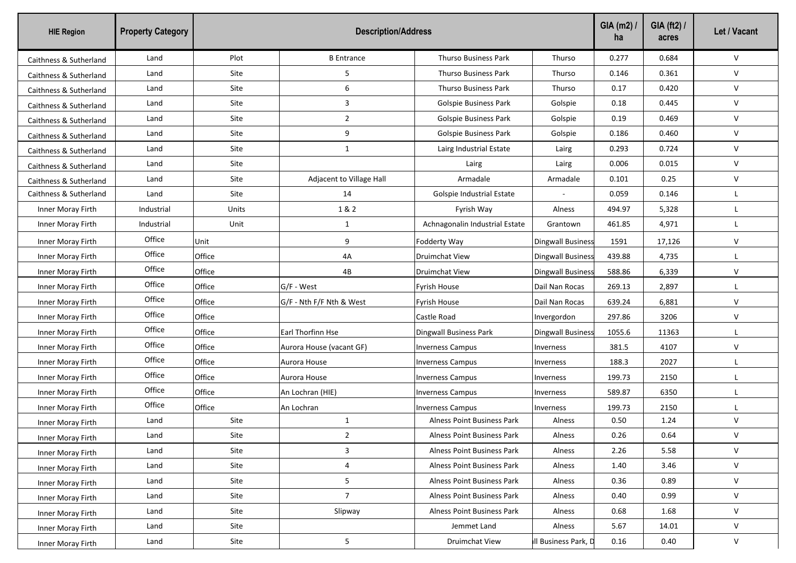| <b>HIE Region</b>      | <b>Property Category</b> |        | <b>Description/Address</b> |                                |                          |        |        | Let / Vacant |
|------------------------|--------------------------|--------|----------------------------|--------------------------------|--------------------------|--------|--------|--------------|
| Caithness & Sutherland | Land                     | Plot   | <b>B</b> Entrance          | <b>Thurso Business Park</b>    | Thurso                   | 0.277  | 0.684  | $\vee$       |
| Caithness & Sutherland | Land                     | Site   | 5                          | <b>Thurso Business Park</b>    | Thurso                   | 0.146  | 0.361  | $\vee$       |
| Caithness & Sutherland | Land                     | Site   | 6                          | <b>Thurso Business Park</b>    | Thurso                   | 0.17   | 0.420  | $\vee$       |
| Caithness & Sutherland | Land                     | Site   | $\overline{\mathbf{3}}$    | Golspie Business Park          | Golspie                  | 0.18   | 0.445  | $\vee$       |
| Caithness & Sutherland | Land                     | Site   | $2^{\circ}$                | Golspie Business Park          | Golspie                  | 0.19   | 0.469  | $\vee$       |
| Caithness & Sutherland | Land                     | Site   | 9                          | <b>Golspie Business Park</b>   | Golspie                  | 0.186  | 0.460  | $\vee$       |
| Caithness & Sutherland | Land                     | Site   | $\mathbf{1}$               | Lairg Industrial Estate        | Lairg                    | 0.293  | 0.724  | $\mathsf{V}$ |
| Caithness & Sutherland | Land                     | Site   |                            | Lairg                          | Lairg                    | 0.006  | 0.015  | $\vee$       |
| Caithness & Sutherland | Land                     | Site   | Adjacent to Village Hall   | Armadale                       | Armadale                 | 0.101  | 0.25   | $\mathsf{V}$ |
| Caithness & Sutherland | Land                     | Site   | 14                         | Golspie Industrial Estate      |                          | 0.059  | 0.146  | L            |
| Inner Moray Firth      | Industrial               | Units  | 1&2                        | Fyrish Way                     | Alness                   | 494.97 | 5,328  | $\mathsf{L}$ |
| Inner Moray Firth      | Industrial               | Unit   | $\mathbf{1}$               | Achnagonalin Industrial Estate | Grantown                 | 461.85 | 4,971  | L            |
| Inner Moray Firth      | Office                   | Unit   | 9                          | <b>Fodderty Way</b>            | <b>Dingwall Business</b> | 1591   | 17,126 | V            |
| Inner Moray Firth      | Office                   | Office | 4A                         | Druimchat View                 | <b>Dingwall Business</b> | 439.88 | 4,735  | L            |
| Inner Moray Firth      | Office                   | Office | 4B                         | Druimchat View                 | <b>Dingwall Business</b> | 588.86 | 6,339  | $\vee$       |
| Inner Moray Firth      | Office                   | Office | G/F - West                 | <b>Fyrish House</b>            | Dail Nan Rocas           | 269.13 | 2,897  | L            |
| Inner Moray Firth      | Office                   | Office | G/F - Nth F/F Nth & West   | <b>Fyrish House</b>            | Dail Nan Rocas           | 639.24 | 6,881  | $\vee$       |
| Inner Moray Firth      | Office                   | Office |                            | Castle Road                    | Invergordon              | 297.86 | 3206   | $\vee$       |
| Inner Moray Firth      | Office                   | Office | Earl Thorfinn Hse          | <b>Dingwall Business Park</b>  | <b>Dingwall Business</b> | 1055.6 | 11363  | L            |
| Inner Moray Firth      | Office                   | Office | Aurora House (vacant GF)   | <b>Inverness Campus</b>        | Inverness                | 381.5  | 4107   | $\vee$       |
| Inner Moray Firth      | Office                   | Office | Aurora House               | <b>Inverness Campus</b>        | Inverness                | 188.3  | 2027   | L            |
| Inner Moray Firth      | Office                   | Office | Aurora House               | <b>Inverness Campus</b>        | Inverness                | 199.73 | 2150   | $\mathbf{I}$ |
| Inner Moray Firth      | Office                   | Office | An Lochran (HIE)           | <b>Inverness Campus</b>        | Inverness                | 589.87 | 6350   | L.           |
| Inner Moray Firth      | Office                   | Office | An Lochran                 | <b>Inverness Campus</b>        | Inverness                | 199.73 | 2150   | L.           |
| Inner Moray Firth      | Land                     | Site   | $\mathbf{1}$               | Alness Point Business Park     | Alness                   | 0.50   | 1.24   | $\mathsf{V}$ |
| Inner Moray Firth      | Land                     | Site   | $\overline{2}$             | Alness Point Business Park     | Alness                   | 0.26   | 0.64   | $\mathsf{V}$ |
| Inner Moray Firth      | Land                     | Site   | 3                          | Alness Point Business Park     | Alness                   | 2.26   | 5.58   | $\vee$       |
| Inner Moray Firth      | Land                     | Site   | $\overline{4}$             | Alness Point Business Park     | Alness                   | 1.40   | 3.46   | ${\sf V}$    |
| Inner Moray Firth      | Land                     | Site   | 5                          | Alness Point Business Park     | Alness                   | 0.36   | 0.89   | V            |
| Inner Moray Firth      | Land                     | Site   | $7\overline{ }$            | Alness Point Business Park     | Alness                   | 0.40   | 0.99   | V            |
| Inner Moray Firth      | Land                     | Site   | Slipway                    | Alness Point Business Park     | Alness                   | 0.68   | 1.68   | ${\sf V}$    |
| Inner Moray Firth      | Land                     | Site   |                            | Jemmet Land                    | Alness                   | 5.67   | 14.01  | V            |
| Inner Moray Firth      | Land                     | Site   | 5 <sub>1</sub>             | Druimchat View                 | Il Business Park, D      | 0.16   | 0.40   | V            |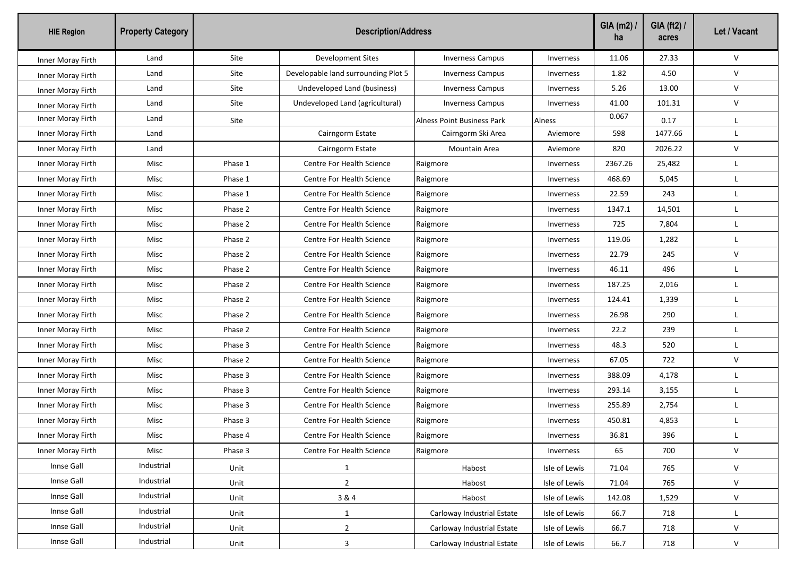| <b>HIE Region</b> | <b>Property Category</b> |         | <b>Description/Address</b>          |                            |               |         |         | Let / Vacant |
|-------------------|--------------------------|---------|-------------------------------------|----------------------------|---------------|---------|---------|--------------|
| Inner Moray Firth | Land                     | Site    | <b>Development Sites</b>            | <b>Inverness Campus</b>    | Inverness     | 11.06   | 27.33   | $\vee$       |
| Inner Moray Firth | Land                     | Site    | Developable land surrounding Plot 5 | <b>Inverness Campus</b>    | Inverness     | 1.82    | 4.50    | $\vee$       |
| Inner Moray Firth | Land                     | Site    | Undeveloped Land (business)         | <b>Inverness Campus</b>    | Inverness     | 5.26    | 13.00   | $\mathsf{V}$ |
| Inner Moray Firth | Land                     | Site    | Undeveloped Land (agricultural)     | <b>Inverness Campus</b>    | Inverness     | 41.00   | 101.31  | $\vee$       |
| Inner Moray Firth | Land                     | Site    |                                     | Alness Point Business Park | Alness        | 0.067   | 0.17    | L            |
| Inner Moray Firth | Land                     |         | Cairngorm Estate                    | Cairngorm Ski Area         | Aviemore      | 598     | 1477.66 | L            |
| Inner Moray Firth | Land                     |         | Cairngorm Estate                    | Mountain Area              | Aviemore      | 820     | 2026.22 | $\vee$       |
| Inner Moray Firth | Misc                     | Phase 1 | Centre For Health Science           | Raigmore                   | Inverness     | 2367.26 | 25,482  | $\mathsf{L}$ |
| Inner Moray Firth | Misc                     | Phase 1 | Centre For Health Science           | Raigmore                   | Inverness     | 468.69  | 5,045   | L            |
| Inner Moray Firth | Misc                     | Phase 1 | Centre For Health Science           | Raigmore                   | Inverness     | 22.59   | 243     | L            |
| Inner Moray Firth | Misc                     | Phase 2 | Centre For Health Science           | Raigmore                   | Inverness     | 1347.1  | 14,501  | $\mathsf{L}$ |
| Inner Moray Firth | Misc                     | Phase 2 | <b>Centre For Health Science</b>    | Raigmore                   | Inverness     | 725     | 7,804   | L            |
| Inner Moray Firth | Misc                     | Phase 2 | Centre For Health Science           | Raigmore                   | Inverness     | 119.06  | 1,282   | L            |
| Inner Moray Firth | Misc                     | Phase 2 | <b>Centre For Health Science</b>    | Raigmore                   | Inverness     | 22.79   | 245     | $\vee$       |
| Inner Moray Firth | Misc                     | Phase 2 | Centre For Health Science           | Raigmore                   | Inverness     | 46.11   | 496     | L            |
| Inner Moray Firth | Misc                     | Phase 2 | Centre For Health Science           | Raigmore                   | Inverness     | 187.25  | 2,016   | L            |
| Inner Moray Firth | Misc                     | Phase 2 | Centre For Health Science           | Raigmore                   | Inverness     | 124.41  | 1,339   | L            |
| Inner Moray Firth | Misc                     | Phase 2 | Centre For Health Science           | Raigmore                   | Inverness     | 26.98   | 290     | L            |
| Inner Moray Firth | Misc                     | Phase 2 | Centre For Health Science           | Raigmore                   | Inverness     | 22.2    | 239     | L            |
| Inner Moray Firth | Misc                     | Phase 3 | Centre For Health Science           | Raigmore                   | Inverness     | 48.3    | 520     | L            |
| Inner Moray Firth | Misc                     | Phase 2 | Centre For Health Science           | Raigmore                   | Inverness     | 67.05   | 722     | $\vee$       |
| Inner Moray Firth | Misc                     | Phase 3 | Centre For Health Science           | Raigmore                   | Inverness     | 388.09  | 4,178   | L            |
| Inner Moray Firth | Misc                     | Phase 3 | Centre For Health Science           | Raigmore                   | Inverness     | 293.14  | 3,155   | L            |
| Inner Moray Firth | Misc                     | Phase 3 | Centre For Health Science           | Raigmore                   | Inverness     | 255.89  | 2,754   | L            |
| Inner Moray Firth | Misc                     | Phase 3 | Centre For Health Science           | Raigmore                   | Inverness     | 450.81  | 4,853   | L            |
| Inner Moray Firth | Misc                     | Phase 4 | Centre For Health Science           | Raigmore                   | Inverness     | 36.81   | 396     |              |
| Inner Moray Firth | Misc                     | Phase 3 | Centre For Health Science           | Raigmore                   | Inverness     | 65      | 700     | $\vee$       |
| Innse Gall        | Industrial               | Unit    | $\mathbf{1}$                        | Habost                     | Isle of Lewis | 71.04   | 765     | V            |
| Innse Gall        | Industrial               | Unit    | $\overline{2}$                      | Habost                     | Isle of Lewis | 71.04   | 765     | $\mathsf{V}$ |
| Innse Gall        | Industrial               | Unit    | 3 & 4                               | Habost                     | Isle of Lewis | 142.08  | 1,529   | V            |
| Innse Gall        | Industrial               | Unit    | $\mathbf{1}$                        | Carloway Industrial Estate | Isle of Lewis | 66.7    | 718     | L            |
| Innse Gall        | Industrial               | Unit    | $\overline{2}$                      | Carloway Industrial Estate | Isle of Lewis | 66.7    | 718     | $\mathsf{V}$ |
| Innse Gall        | Industrial               | Unit    | $\mathbf{3}$                        | Carloway Industrial Estate | Isle of Lewis | 66.7    | 718     | V            |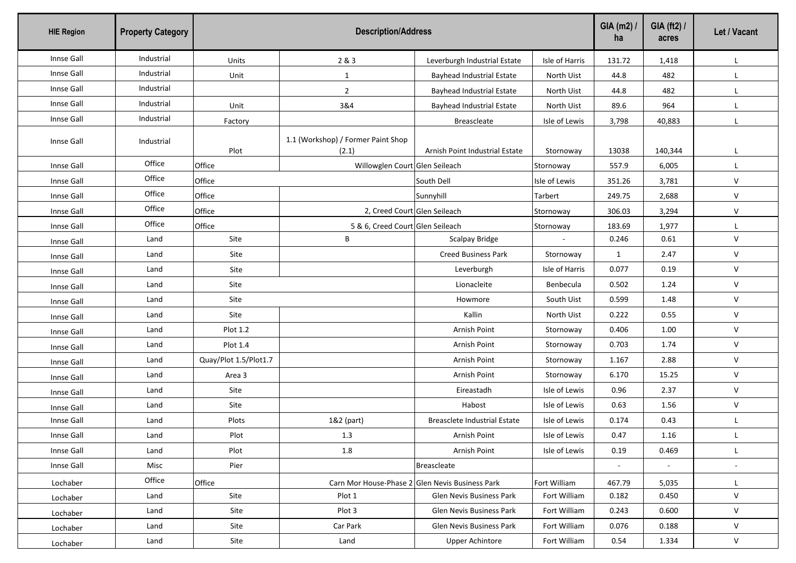| <b>HIE Region</b> | <b>Property Category</b> | <b>Description/Address</b> |                                             | $GIA$ (m2) /                                    |                |                          |                          |              |
|-------------------|--------------------------|----------------------------|---------------------------------------------|-------------------------------------------------|----------------|--------------------------|--------------------------|--------------|
| Innse Gall        | Industrial               | Units                      | 2 & 3                                       | Leverburgh Industrial Estate                    | Isle of Harris | 131.72                   | 1,418                    | L            |
| Innse Gall        | Industrial               | Unit                       | $\mathbf{1}$                                | Bayhead Industrial Estate                       | North Uist     | 44.8                     | 482                      |              |
| Innse Gall        | Industrial               |                            | $\overline{2}$                              | <b>Bayhead Industrial Estate</b>                | North Uist     | 44.8                     | 482                      | L            |
| Innse Gall        | Industrial               | Unit                       | 3&4                                         | <b>Bayhead Industrial Estate</b>                | North Uist     | 89.6                     | 964                      | L            |
| Innse Gall        | Industrial               | Factory                    |                                             | <b>Breascleate</b>                              | Isle of Lewis  | 3,798                    | 40,883                   | L            |
| Innse Gall        | Industrial               | Plot                       | 1.1 (Workshop) / Former Paint Shop<br>(2.1) | Arnish Point Industrial Estate                  | Stornoway      | 13038                    | 140,344                  | L            |
| Innse Gall        | Office                   | Office                     | Willowglen Court Glen Seileach              |                                                 | Stornoway      | 557.9                    | 6,005                    | L            |
| Innse Gall        | Office                   | Office                     |                                             | South Dell                                      | Isle of Lewis  | 351.26                   | 3,781                    | $\vee$       |
| Innse Gall        | Office                   | Office                     |                                             | Sunnyhill                                       | <b>Tarbert</b> | 249.75                   | 2,688                    | ${\sf V}$    |
| Innse Gall        | Office                   | Office                     | 2, Creed Court Glen Seileach                |                                                 | Stornoway      | 306.03                   | 3,294                    | ${\sf V}$    |
| Innse Gall        | Office                   | Office                     | 5 & 6, Creed Court Glen Seileach            |                                                 | Stornoway      | 183.69                   | 1,977                    |              |
| Innse Gall        | Land                     | Site                       | B                                           | <b>Scalpay Bridge</b>                           | $\sim$         | 0.246                    | 0.61                     | $\mathsf{V}$ |
| Innse Gall        | Land                     | Site                       |                                             | <b>Creed Business Park</b>                      | Stornoway      | $\mathbf{1}$             | 2.47                     | $\vee$       |
| Innse Gall        | Land                     | Site                       |                                             | Leverburgh                                      | Isle of Harris | 0.077                    | 0.19                     | $\vee$       |
| Innse Gall        | Land                     | Site                       |                                             | Lionacleite                                     | Benbecula      | 0.502                    | 1.24                     | $\mathsf{V}$ |
| Innse Gall        | Land                     | Site                       |                                             | Howmore                                         | South Uist     | 0.599                    | 1.48                     | $\mathsf{V}$ |
| Innse Gall        | Land                     | Site                       |                                             | Kallin                                          | North Uist     | 0.222                    | 0.55                     | $\vee$       |
| Innse Gall        | Land                     | Plot 1.2                   |                                             | Arnish Point                                    | Stornoway      | 0.406                    | 1.00                     | $\mathsf{V}$ |
| Innse Gall        | Land                     | Plot 1.4                   |                                             | Arnish Point                                    | Stornoway      | 0.703                    | 1.74                     | $\vee$       |
| Innse Gall        | Land                     | Quay/Plot 1.5/Plot1.7      |                                             | Arnish Point                                    | Stornoway      | 1.167                    | 2.88                     | $\vee$       |
| Innse Gall        | Land                     | Area 3                     |                                             | Arnish Point                                    | Stornoway      | 6.170                    | 15.25                    | $\mathsf{V}$ |
| Innse Gall        | Land                     | Site                       |                                             | Eireastadh                                      | Isle of Lewis  | 0.96                     | 2.37                     | $\vee$       |
| Innse Gall        | Land                     | Site                       |                                             | Habost                                          | Isle of Lewis  | 0.63                     | 1.56                     | $\vee$       |
| Innse Gall        | Land                     | Plots                      | 1&2 (part)                                  | <b>Breasclete Industrial Estate</b>             | Isle of Lewis  | 0.174                    | 0.43                     | L            |
| Innse Gall        | Land                     | Plot                       | 1.3                                         | Arnish Point                                    | Isle of Lewis  | 0.47                     | 1.16                     | $\mathsf L$  |
| Innse Gall        | Land                     | Plot                       | 1.8                                         | Arnish Point                                    | Isle of Lewis  | 0.19                     | 0.469                    | L.           |
| Innse Gall        | Misc                     | Pier                       |                                             | Breascleate                                     |                | $\overline{\phantom{a}}$ | $\overline{\phantom{a}}$ | $\sim$       |
| Lochaber          | Office                   | Office                     |                                             | Carn Mor House-Phase 2 Glen Nevis Business Park | Fort William   | 467.79                   | 5,035                    | L            |
| Lochaber          | Land                     | Site                       | Plot 1                                      | Glen Nevis Business Park                        | Fort William   | 0.182                    | 0.450                    | $\mathsf{V}$ |
| Lochaber          | Land                     | Site                       | Plot 3                                      | Glen Nevis Business Park                        | Fort William   | 0.243                    | 0.600                    | $\vee$       |
| Lochaber          | Land                     | Site                       | Car Park                                    | Glen Nevis Business Park                        | Fort William   | 0.076                    | 0.188                    | $\vee$       |
| Lochaber          | Land                     | Site                       | Land                                        | Upper Achintore                                 | Fort William   | 0.54                     | 1.334                    | $\vee$       |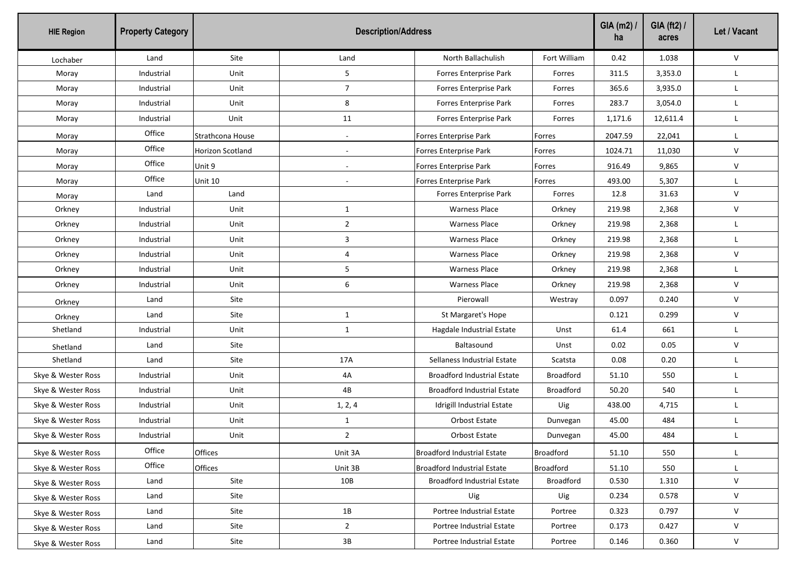| <b>HIE Region</b>  | <b>Property Category</b> |                  | <b>Description/Address</b> |                                    |                  |         |          | Let / Vacant |
|--------------------|--------------------------|------------------|----------------------------|------------------------------------|------------------|---------|----------|--------------|
| Lochaber           | Land                     | Site             | Land                       | North Ballachulish                 | Fort William     | 0.42    | 1.038    | V            |
| Moray              | Industrial               | Unit             | 5                          | Forres Enterprise Park             | Forres           | 311.5   | 3,353.0  | $\mathsf{L}$ |
| Moray              | Industrial               | Unit             | $\overline{7}$             | Forres Enterprise Park             | Forres           | 365.6   | 3,935.0  | L            |
| Moray              | Industrial               | Unit             | 8                          | Forres Enterprise Park             | Forres           | 283.7   | 3,054.0  | L            |
| Moray              | Industrial               | Unit             | 11                         | Forres Enterprise Park             | Forres           | 1,171.6 | 12,611.4 | $\mathsf{L}$ |
| Moray              | Office                   | Strathcona House | $\blacksquare$             | Forres Enterprise Park             | Forres           | 2047.59 | 22,041   | L            |
| Moray              | Office                   | Horizon Scotland | $\overline{\phantom{a}}$   | Forres Enterprise Park             | Forres           | 1024.71 | 11,030   | $\vee$       |
| Moray              | Office                   | Unit 9           | $\blacksquare$             | Forres Enterprise Park             | Forres           | 916.49  | 9,865    | $\vee$       |
| Moray              | Office                   | <b>Unit 10</b>   | $\overline{\phantom{a}}$   | <b>Forres Enterprise Park</b>      | Forres           | 493.00  | 5,307    | L            |
| Moray              | Land                     | Land             |                            | Forres Enterprise Park             | Forres           | 12.8    | 31.63    | $\mathsf V$  |
| Orkney             | Industrial               | Unit             | 1                          | <b>Warness Place</b>               | Orkney           | 219.98  | 2,368    | $\vee$       |
| Orkney             | Industrial               | Unit             | $\overline{2}$             | <b>Warness Place</b>               | Orkney           | 219.98  | 2,368    | L            |
| Orkney             | Industrial               | Unit             | $\overline{3}$             | <b>Warness Place</b>               | Orkney           | 219.98  | 2,368    | L            |
| Orkney             | Industrial               | Unit             | $\overline{4}$             | <b>Warness Place</b>               | Orkney           | 219.98  | 2,368    | $\vee$       |
| Orkney             | Industrial               | Unit             | 5                          | <b>Warness Place</b>               | Orkney           | 219.98  | 2,368    | L            |
| Orkney             | Industrial               | Unit             | $\boldsymbol{6}$           | <b>Warness Place</b>               | Orkney           | 219.98  | 2,368    | $\mathsf{V}$ |
| Orkney             | Land                     | Site             |                            | Pierowall                          | Westray          | 0.097   | 0.240    | $\mathsf{V}$ |
| Orkney             | Land                     | Site             | $\mathbf{1}$               | St Margaret's Hope                 |                  | 0.121   | 0.299    | $\vee$       |
| Shetland           | Industrial               | Unit             | $\mathbf{1}$               | Hagdale Industrial Estate          | Unst             | 61.4    | 661      | $\mathsf{L}$ |
| Shetland           | Land                     | Site             |                            | Baltasound                         | Unst             | 0.02    | 0.05     | $\vee$       |
| Shetland           | Land                     | Site             | 17A                        | Sellaness Industrial Estate        | Scatsta          | 0.08    | 0.20     | L            |
| Skye & Wester Ross | Industrial               | Unit             | 4A                         | <b>Broadford Industrial Estate</b> | <b>Broadford</b> | 51.10   | 550      | $\mathsf{L}$ |
| Skye & Wester Ross | Industrial               | Unit             | 4B                         | <b>Broadford Industrial Estate</b> | <b>Broadford</b> | 50.20   | 540      | $\mathsf{L}$ |
| Skye & Wester Ross | Industrial               | Unit             | 1, 2, 4                    | Idrigill Industrial Estate         | Uig              | 438.00  | 4,715    | L            |
| Skye & Wester Ross | Industrial               | Unit             | $\mathbf{1}$               | <b>Orbost Estate</b>               | Dunvegan         | 45.00   | 484      | L            |
| Skye & Wester Ross | Industrial               | Unit             | $\overline{2}$             | Orbost Estate                      | Dunvegan         | 45.00   | 484      | $\mathsf{L}$ |
| Skye & Wester Ross | Office                   | Offices          | Unit 3A                    | <b>Broadford Industrial Estate</b> | <b>Broadford</b> | 51.10   | 550      | L            |
| Skye & Wester Ross | Office                   | Offices          | Unit 3B                    | <b>Broadford Industrial Estate</b> | Broadford        | 51.10   | 550      | L            |
| Skye & Wester Ross | Land                     | Site             | 10B                        | <b>Broadford Industrial Estate</b> | <b>Broadford</b> | 0.530   | 1.310    | V            |
| Skye & Wester Ross | Land                     | Site             |                            | Uig                                | Uig              | 0.234   | 0.578    | $\vee$       |
| Skye & Wester Ross | Land                     | Site             | 1B                         | Portree Industrial Estate          | Portree          | 0.323   | 0.797    | ${\sf V}$    |
| Skye & Wester Ross | Land                     | Site             | $\overline{2}$             | Portree Industrial Estate          | Portree          | 0.173   | 0.427    | V            |
| Skye & Wester Ross | Land                     | Site             | 3B                         | Portree Industrial Estate          | Portree          | 0.146   | 0.360    | V            |